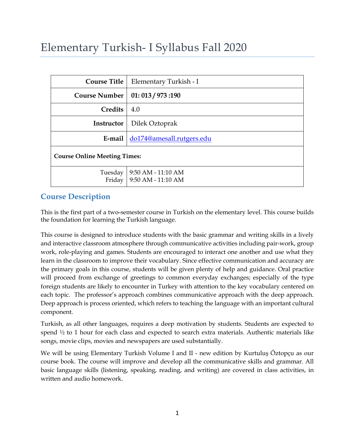# Elementary Turkish- I Syllabus Fall 2020

| <b>Course Title</b>                 | Elementary Turkish - I                                         |  |  |  |
|-------------------------------------|----------------------------------------------------------------|--|--|--|
| <b>Course Number</b>                | 01:013/973:190                                                 |  |  |  |
| Credits                             | 4.0                                                            |  |  |  |
| Instructor                          | Dilek Oztoprak                                                 |  |  |  |
| E-mail do174@amesall.rutgers.edu    |                                                                |  |  |  |
| <b>Course Online Meeting Times:</b> |                                                                |  |  |  |
|                                     | $9:50 AM - 11:10 AM$<br>Tuesday<br>Friday   9:50 AM - 11:10 AM |  |  |  |

# **Course Description**

This is the first part of a two-semester course in Turkish on the elementary level. This course builds the foundation for learning the Turkish language.

This course is designed to introduce students with the basic grammar and writing skills in a lively and interactive classroom atmosphere through communicative activities including pair-work, group work, role-playing and games. Students are encouraged to interact one another and use what they learn in the classroom to improve their vocabulary. Since effective communication and accuracy are the primary goals in this course, students will be given plenty of help and guidance. Oral practice will proceed from exchange of greetings to common everyday exchanges; especially of the type foreign students are likely to encounter in Turkey with attention to the key vocabulary centered on each topic. The professor's approach combines communicative approach with the deep approach. Deep approach is process oriented, which refers to teaching the language with an important cultural component.

Turkish, as all other languages, requires a deep motivation by students. Students are expected to spend  $\frac{1}{2}$  to 1 hour for each class and expected to search extra materials. Authentic materials like songs, movie clips, movies and newspapers are used substantially.

We will be using Elementary Turkish Volume I and II - new edition by Kurtuluş Öztopçu as our course book. The course will improve and develop all the communicative skills and grammar. All basic language skills (listening, speaking, reading, and writing) are covered in class activities, in written and audio homework.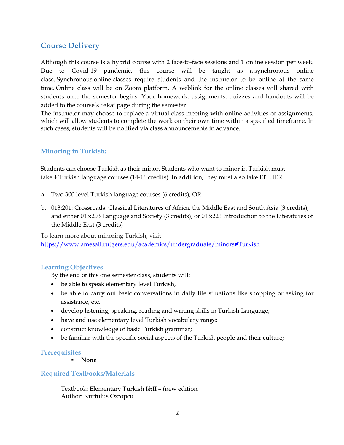# **Course Delivery**

Although this course is a hybrid course with 2 face-to-face sessions and 1 online session per week. Due to Covid-19 pandemic, this course will be taught as a synchronous online class. Synchronous online classes require students and the instructor to be online at the same time. Online class will be on Zoom platform. A weblink for the online classes will shared with students once the semester begins. Your homework, assignments, quizzes and handouts will be added to the course's Sakai page during the semester.

The instructor may choose to replace a virtual class meeting with online activities or assignments, which will allow students to complete the work on their own time within a specified timeframe. In such cases, students will be notified via class announcements in advance.

# **Minoring in Turkish:**

Students can choose Turkish as their minor. Students who want to minor in Turkish must take 4 Turkish language courses (14-16 credits). In addition, they must also take EITHER

- a. Two 300 level Turkish language courses (6 credits), OR
- b. 013:201: Crossroads: Classical Literatures of Africa, the Middle East and South Asia (3 credits), and either 013:203 Language and Society (3 credits), or 013:221 Introduction to the Literatures of the Middle East (3 credits)

To learn more about minoring Turkish, visit https://www.amesall.rutgers.edu/academics/undergraduate/minors#Turkish

# **Learning Objectives**

By the end of this one semester class, students will:

- be able to speak elementary level Turkish,
- be able to carry out basic conversations in daily life situations like shopping or asking for assistance, etc.
- develop listening, speaking, reading and writing skills in Turkish Language;
- have and use elementary level Turkish vocabulary range;
- construct knowledge of basic Turkish grammar;
- be familiar with the specific social aspects of the Turkish people and their culture;

#### **Prerequisites**

§ **None**

# **Required Textbooks/Materials**

Textbook: Elementary Turkish I&II – (new edition Author: Kurtulus Oztopcu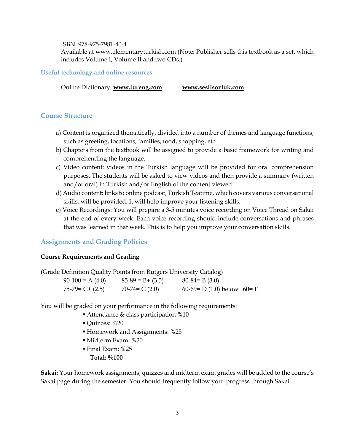#### ISBN: 978-975-7981-40-4

Available at www.elementaryturkish.com (Note: Publisher sells this textbook as a set, which includes Volume I, Volume II and two CDs.)

#### **Useful technology and online resources:**

Online Dictionary: **www.tureng.com www.seslisozluk.com** 

#### **Course Structure**

- a) Content is organized thematically, divided into a number of themes and language functions, such as greeting, locations, families, food, shopping, etc.
- b) Chapters from the textbook will be assigned to provide a basic framework for writing and comprehending the language.
- c) Video content: videos in the Turkish language will be provided for oral comprehension purposes. The students will be asked to view videos and then provide a summary (written and/or oral) in Turkish and/or English of the content viewed
- d) Audio content: links to online podcast, Turkish Teatime, which covers various conversational skills, will be provided. It will help improve your listening skills.
- e) Voice Recordings: You will prepare a 3-5 minutes voice recording on Voice Thread on Sakai at the end of every week. Each voice recording should include conversations and phrases that was learned in that week. This is to help you improve your conversation skills.

#### **Assignments and Grading Policies**

#### **Course Requirements and Grading**

| (Grade Definition Quality Points from Rutgers University Catalog) |                   |                     |                            |  |  |  |
|-------------------------------------------------------------------|-------------------|---------------------|----------------------------|--|--|--|
|                                                                   | $90-100 = A(4.0)$ | $85-89 = B + (3.5)$ | $80-84= B(3.0)$            |  |  |  |
| $75-79 = C + (2.5)$                                               |                   | $70-74 = C(2.0)$    | 60-69= D (1.0) below 60= F |  |  |  |

You will be graded on your performance in the following requirements:

- Attendance & class participation %10
- § Quizzes: %20
- § Homework and Assignments: %25
- § Midterm Exam: %20
- § Final Exam: %25
	- **Total: %100**

**Sakai:** Your homework assignments, quizzes and midterm exam grades will be added to the course's Sakai page during the semester. You should frequently follow your progress through Sakai.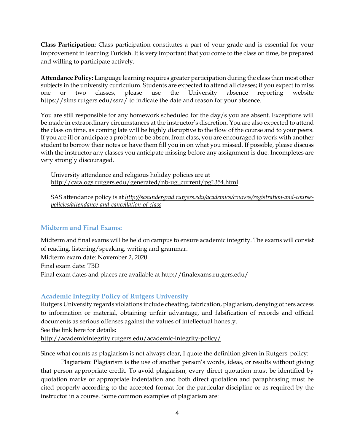**Class Participation**: Class participation constitutes a part of your grade and is essential for your improvement in learning Turkish. It is very important that you come to the class on time, be prepared and willing to participate actively.

**Attendance Policy:** Language learning requires greater participation during the class than most other subjects in the university curriculum. Students are expected to attend all classes; if you expect to miss one or two classes, please use the University absence reporting website https://sims.rutgers.edu/ssra/ to indicate the date and reason for your absence.

You are still responsible for any homework scheduled for the day/s you are absent. Exceptions will be made in extraordinary circumstances at the instructor's discretion. You are also expected to attend the class on time, as coming late will be highly disruptive to the flow of the course and to your peers. If you are ill or anticipate a problem to be absent from class, you are encouraged to work with another student to borrow their notes or have them fill you in on what you missed. If possible, please discuss with the instructor any classes you anticipate missing before any assignment is due. Incompletes are very strongly discouraged.

University attendance and religious holiday policies are at http://catalogs.rutgers.edu/generated/nb-ug\_current/pg1354.html

SAS attendance policy is at *http://sasundergrad.rutgers.edu/academics/courses/registration-and-coursepolicies/attendance-and-cancellation-of-class*

# **Midterm and Final Exams:**

Midterm and final exams will be held on campus to ensure academic integrity. The exams will consist of reading, listening/speaking, writing and grammar.

Midterm exam date: November 2, 2020 Final exam date: TBD Final exam dates and places are available at http://finalexams.rutgers.edu/

# **Academic Integrity Policy of Rutgers University**

Rutgers University regards violations include cheating, fabrication, plagiarism, denying others access to information or material, obtaining unfair advantage, and falsification of records and official documents as serious offenses against the values of intellectual honesty.

See the link here for details:

http://academicintegrity.rutgers.edu/academic-integrity-policy/

Since what counts as plagiarism is not always clear, I quote the definition given in Rutgers' policy:

Plagiarism: Plagiarism is the use of another person's words, ideas, or results without giving that person appropriate credit. To avoid plagiarism, every direct quotation must be identified by quotation marks or appropriate indentation and both direct quotation and paraphrasing must be cited properly according to the accepted format for the particular discipline or as required by the instructor in a course. Some common examples of plagiarism are: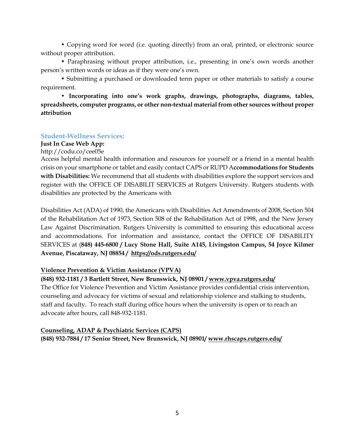• Copying word for word (i.e. quoting directly) from an oral, printed, or electronic source without proper attribution.

• Paraphrasing without proper attribution, i.e., presenting in one's own words another person's written words or ideas as if they were one's own.

• Submitting a purchased or downloaded term paper or other materials to satisfy a course requirement.

**• Incorporating into one's work graphs, drawings, photographs, diagrams, tables, spreadsheets, computer programs, or other non-textual material from other sources without proper attribution**

### **Student-Wellness Services:**

#### **Just In Case Web App:**

http://codu.co/cee05e

Access helpful mental health information and resources for yourself or a friend in a mental health crisis on your smartphone or tablet and easily contact CAPS or RUPD A**ccommodations for Students with Disabilities:** We recommend that all students with disabilities explore the support services and register with the OFFICE OF DISABILIT SERVICES at Rutgers University. Rutgers students with disabilities are protected by the Americans with

Disabilities Act (ADA) of 1990, the Americans with Disabilities Act Amendments of 2008, Section 504 of the Rehabilitation Act of 1973, Section 508 of the Rehabilitation Act of 1998, and the New Jersey Law Against Discrimination. Rutgers University is committed to ensuring this educational access and accommodations. For information and assistance, contact the OFFICE OF DISABILITY SERVICES at (**848) 445-6800 / Lucy Stone Hall, Suite A145, Livingston Campus, 54 Joyce Kilmer Avenue, Piscataway, NJ 08854 / https://ods.rutgers.edu/**

# **Violence Prevention & Victim Assistance (VPVA)**

# **(848) 932-1181 / 3 Bartlett Street, New Brunswick, NJ 08901 / www.vpva.rutgers.edu/**

The Office for Violence Prevention and Victim Assistance provides confidential crisis intervention, counseling and advocacy for victims of sexual and relationship violence and stalking to students, staff and faculty. To reach staff during office hours when the university is open or to reach an advocate after hours, call 848-932-1181.

**Counseling, ADAP & Psychiatric Services (CAPS) (848) 932-7884 / 17 Senior Street, New Brunswick, NJ 08901/ www.rhscaps.rutgers.edu/**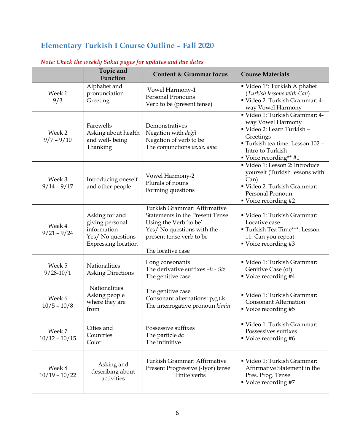# **Elementary Turkish I Course Outline – Fall 2020**

|                           | Topic and<br>Function                                                                               | <b>Content &amp; Grammar focus</b>                                                                                                                                              | <b>Course Materials</b>                                                                                                                                                        |
|---------------------------|-----------------------------------------------------------------------------------------------------|---------------------------------------------------------------------------------------------------------------------------------------------------------------------------------|--------------------------------------------------------------------------------------------------------------------------------------------------------------------------------|
| Week 1<br>9/3             | Alphabet and<br>pronunciation<br>Greeting                                                           | Vowel Harmony-1<br><b>Personal Pronouns</b><br>Verb to be (present tense)                                                                                                       | Video 1*: Turkish Alphabet<br>(Turkish lessons with Can)<br>" Video 2: Turkish Grammar: 4-<br>way Vowel Harmony                                                                |
| Week 2<br>$9/7 - 9/10$    | Farewells<br>Asking about health<br>and well-being<br>Thanking                                      | Demonstratives<br>Negation with değil<br>Negation of verb to be<br>The conjunctions ve, ile, ama                                                                                | " Video 1: Turkish Grammar: 4-<br>way Vowel Harmony<br>Video 2: Learn Turkish -<br>Greetings<br>" Turkish tea time: Lesson 102 -<br>Intro to Turkish<br>■ Voice recording** #1 |
| Week 3<br>$9/14 - 9/17$   | Introducing oneself<br>and other people                                                             | Vowel Harmony-2<br>Plurals of nouns<br>Forming questions                                                                                                                        | Video 1: Lesson 2: Introduce<br>yourself (Turkish lessons with<br>Can)<br>" Video 2: Turkish Grammar:<br>Personal Pronoun<br>■ Voice recording #2                              |
| Week 4<br>$9/21 - 9/24$   | Asking for and<br>giving personal<br>information<br>Yes/ No questions<br><b>Expressing location</b> | Turkish Grammar: Affirmative<br><b>Statements in the Present Tense</b><br>Using the Verb 'to be'<br>Yes/ No questions with the<br>present tense verb to be<br>The locative case | Video 1: Turkish Grammar:<br>Locative case<br>" Turkish Tea Time***: Lesson<br>11: Can you repeat<br>■ Voice recording #3                                                      |
| Week 5<br>$9/28 - 10/1$   | Nationalities<br><b>Asking Directions</b>                                                           | Long consonants<br>The derivative suffixes -lı - Siz<br>The genitive case                                                                                                       | " Video 1: Turkish Grammar:<br>Genitive Case (of)<br>■ Voice recording #4                                                                                                      |
| Week 6<br>$10/5 - 10/8$   | Nationalities<br>Asking people<br>where they are<br>from                                            | The genitive case<br>Consonant alternations: p,ç,t,k<br>The interrogative pronoun kimin                                                                                         | " Video 1: Turkish Grammar:<br><b>Consonant Alternation</b><br>■ Voice recording #5                                                                                            |
| Week 7<br>$10/12 - 10/15$ | Cities and<br>Countries<br>Color                                                                    | Possessive suffixes<br>The particle da<br>The infinitive                                                                                                                        | Video 1: Turkish Grammar:<br>Possessives suffixes<br>■ Voice recording #6                                                                                                      |
| Week 8<br>$10/19 - 10/22$ | Asking and<br>describing about<br>activities                                                        | Turkish Grammar: Affirmative<br>Present Progressive (-Iyor) tense<br>Finite verbs                                                                                               | Video 1: Turkish Grammar:<br>Affirmative Statement in the<br>Pres. Prog. Tense<br>■ Voice recording #7                                                                         |

# *Note: Check the weekly Sakai pages for updates and due dates*